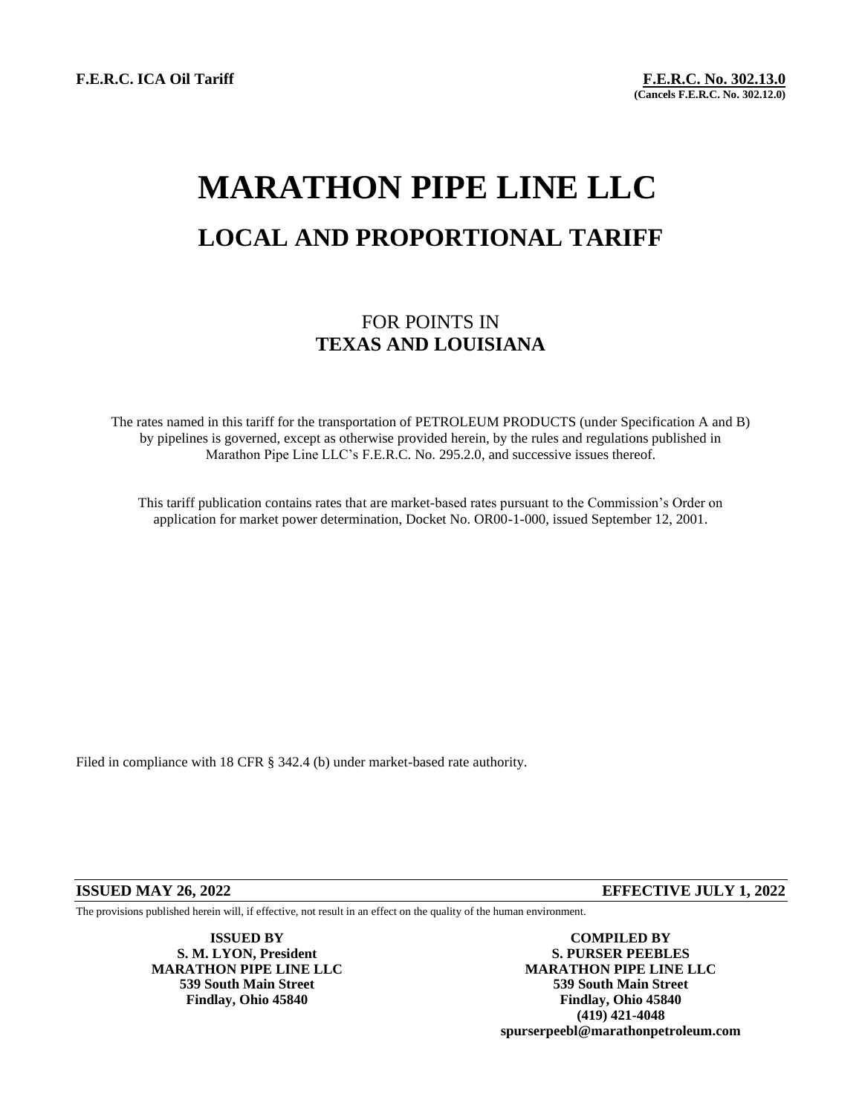**F.E.R.C. ICA Oil Tariff F.E.R.C. No. 302.13.0**

**(Cancels F.E.R.C. No. 302.12.0)**

## **MARATHON PIPE LINE LLC LOCAL AND PROPORTIONAL TARIFF**

## FOR POINTS IN **TEXAS AND LOUISIANA**

The rates named in this tariff for the transportation of PETROLEUM PRODUCTS (under Specification A and B) by pipelines is governed, except as otherwise provided herein, by the rules and regulations published in Marathon Pipe Line LLC's F.E.R.C. No. 295.2.0, and successive issues thereof.

This tariff publication contains rates that are market-based rates pursuant to the Commission's Order on application for market power determination, Docket No. OR00-1-000, issued September 12, 2001.

Filed in compliance with 18 CFR § 342.4 (b) under market-based rate authority.

**ISSUED MAY 26, 2022 EFFECTIVE JULY 1, 2022**

The provisions published herein will, if effective, not result in an effect on the quality of the human environment.

**ISSUED BY COMPILED BY S. M. LYON, President S. PURSER PEEBLES MARATHON PIPE LINE LLC MARATHON PIPE LINE LLC 539 South Main Street 539 South Main Street Findlay, Ohio 45840 Findlay, Ohio 45840 (419) 421-4048 spurserpeebl@marathonpetroleum.com**